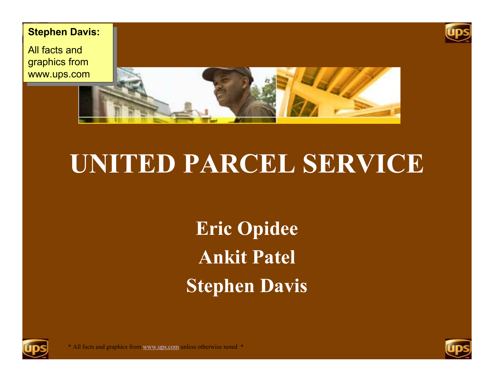

All facts and graphics from graphics from www.ups.com www.ups.com





#### **UNITED PARCEL SERVICE**

**Eric Opidee Ankit Patel Stephen Davis**



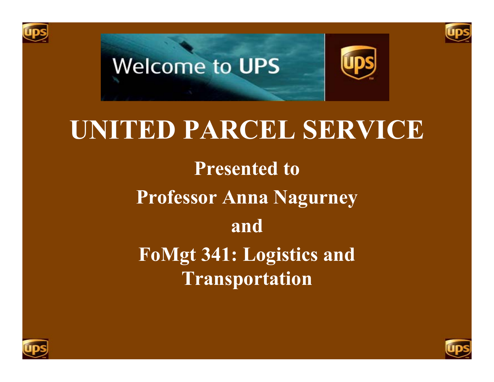





#### **UNITED PARCEL SERVICE**

**Presented to Professor Anna Nagurney and FoMgt 341: Logistics and Transportation**



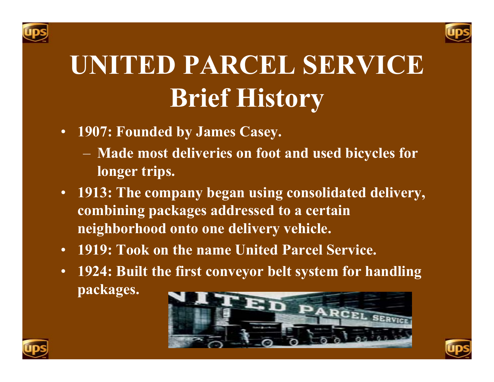



# **UNITED PARCEL SERVICEBrief History**

- **1907: Founded by James Casey.**
	- **Made most deliveries on foot and used bicycles for longer trips.**
- **1913: The company began using consolidated delivery, combining packages addressed to a certain neighborhood onto one delivery vehicle.**
- **1919: Took on the name United Parcel Service.**
- **1924: Built the first conveyor belt system for handling packages.**





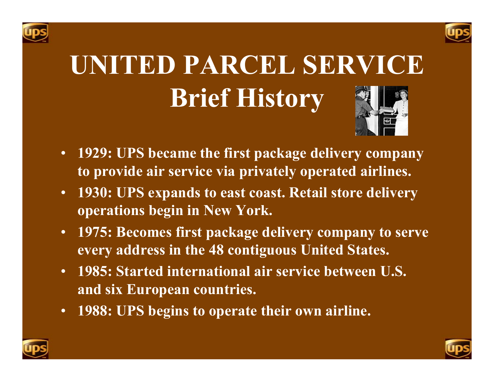



# **UNITED PARCEL SERVICEBrief History**



- **1929: UPS became the first package delivery company to provide air service via privately operated airlines.**
- **1930: UPS expands to east coast. Retail store delivery operations begin in New York.**
- **1975: Becomes first package delivery company to serve every address in the 48 contiguous United States.**
- **1985: Started international air service between U.S. and six European countries.**
- $\bullet$ **1988: UPS begins to operate their own airline.**



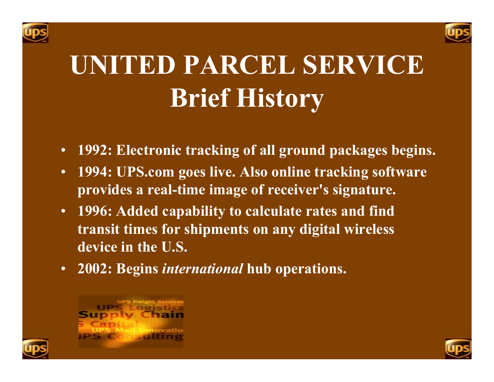



# **UNITED PARCEL SERVICEBrief History**

- •**1992: Electronic tracking of all ground packages begins.**
- • **1994: UPS.com goes live. Also online tracking software provides a real-time image of receiver's signature.**
- **1996: Added capability to calculate rates and find transit times for shipments on any digital wireless device in the U.S.**
- **2002: Begins** *international* **hub operations.**



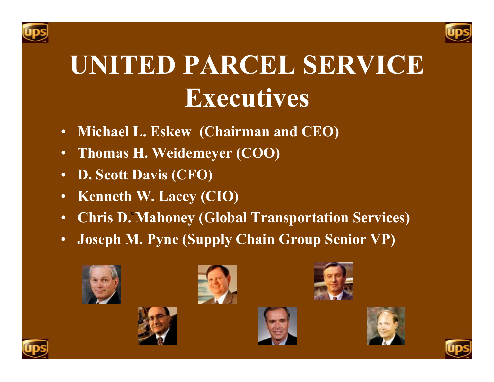



## **UNITED PARCEL SERVICEExecutives**

- •**Michael L. Eskew (Chairman and CEO)**
- $\bullet$ **Thomas H. Weidemeyer (COO)**
- •**D. Scott Davis (CFO)**
- •**Kenneth W. Lacey (CIO)**
- •• Chris D. Mahoney (Global Transportation Services)
- •**Joseph M. Pyne (Supply Chain Group Senior VP) <sup>r</sup>**















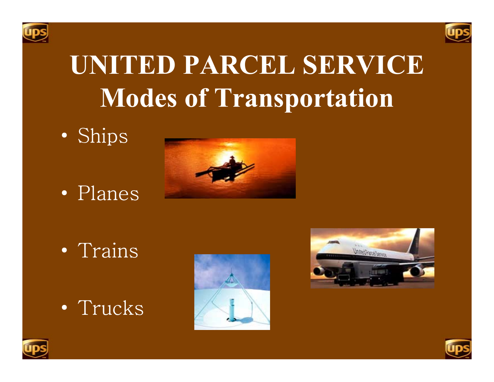



### **UNITED PARCEL SERVICEModes of Transportation**

 $\bullet$ Ships

 $\bullet$ • Planes



 $\bullet$ • Trains

•Trucks







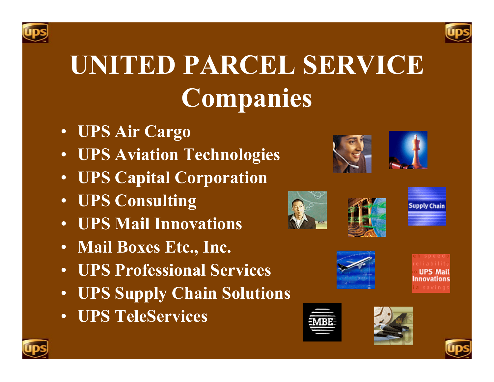



# **UNITED PARCEL SERVICECompanies**

- **UPS Air Cargo**
- **UPS Aviation Technologies**
- **UPS Capital Corporation**
- **UPS Consulting**
- **UPS Mail Innovations**
- **Mail Boxes Etc., Inc.**
- **UPS Professional Services**
- **UPS Supply Chain Solutions**
- **UPS TeleServices**

















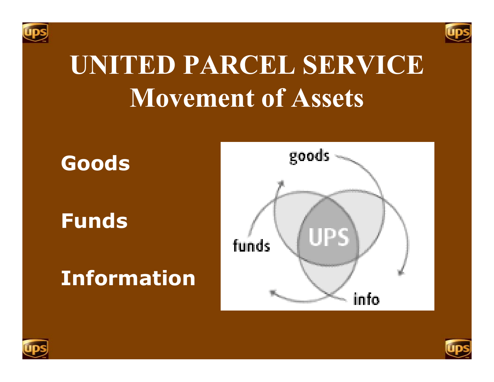



### **UNITED PARCEL SERVICE Movement of Assets**





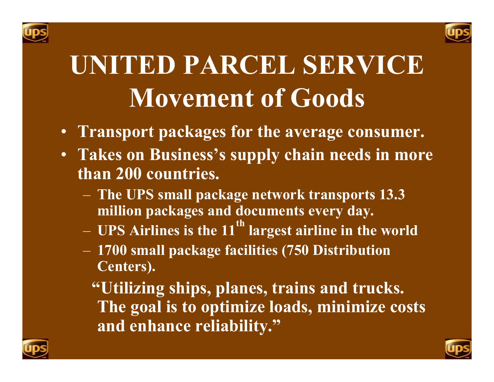



## **UNITED PARCEL SERVICE Movement of Goods**

- **Transport packages for the average consumer.**
- **Takes on Business's supply chain needs in more than 200 countries.**
	- **The UPS small package network transports 13.3 million packages and documents every day.**
	- **UPS Airlines is the 11th largest airline in the world**
	- **1700 small package facilities (750 Distribution Centers).**
		- **"Utilizing ships, planes, trains and trucks. The goal is to optimize loads, minimize costs and enhance reliability."**



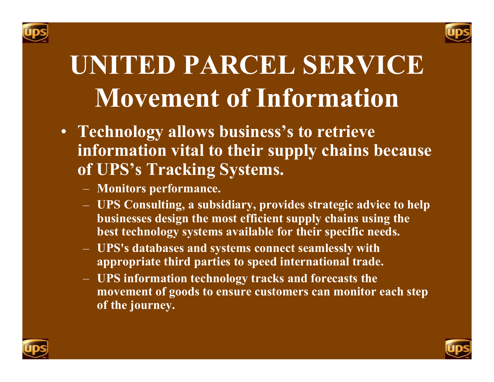



# **UNITED PARCEL SERVICEMovement of Information**

- **Technology allows business's to retrieve information vital to their supply chains because of UPS's Tracking Systems.**
	- **Monitors performance.**
	- **UPS Consulting, a subsidiary, provides strategic advice to help businesses design the most efficient supply chains using the best technology systems available for their specific needs.**
	- **UPS's databases and systems connect seamlessly with appropriate third parties to speed international trade.**
	- **UPS information technology tracks and forecasts the movement of goods to ensure customers can monitor each step of the journey.**



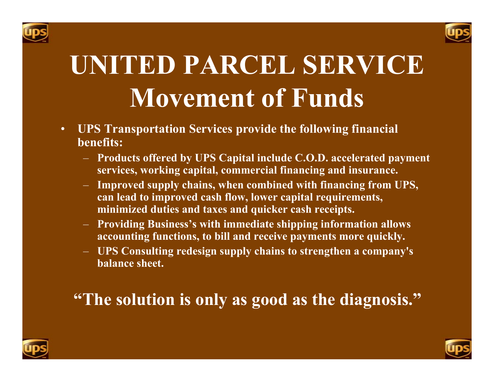



## **UNITED PARCEL SERVICEMovement of Funds**

- • **UPS Transportation Services provide the following financial benefits:**
	- **Products offered by UPS Capital include C.O.D. accelerated payment services, working capital, commercial financing and insurance.**
	- **Improved supply chains, when combined with financing from UPS, can lead to improved cash flow, lower capital requirements, minimized duties and taxes and quicker cash receipts.**
	- **Providing Business's with immediate shipping information allows accounting functions, to bill and receive payments more quickly.**
	- **UPS Consulting redesign supply chains to strengthen a company's balance sheet.**

#### **"The solution is only as good as the diagnosis."**



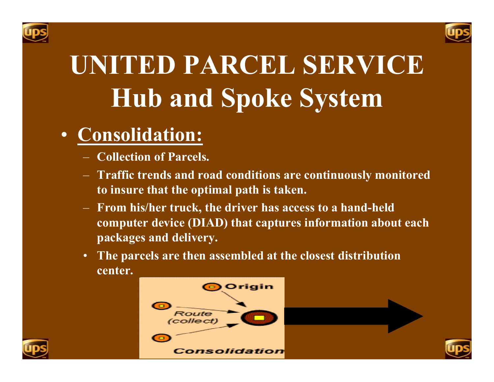



#### • **Consolidation :**

- **Collection of Parcels.**
- **Traffic trends and road conditions are continuously monitored to insure that the optimal path is taken.**
- **From his/her truck, the driver has access to a hand-held computer device (DIAD) that captures information about each packages and delivery.**
- • **The parcels are then assembled at the closest distribution center.**



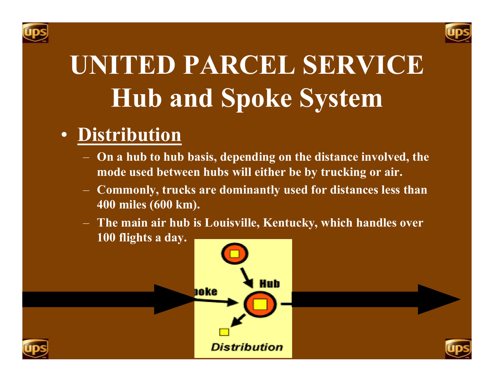



#### • **Distribution**

- **On a hub to hub basis, depending on the distance involved, the mode used between hubs will either be by trucking or air.**
- **Commonly, trucks are dominantly used for distances less than 400 miles (600 km).**
- **The main air hub is Louisville, Kentucky, which handles over 100 flights a day.**





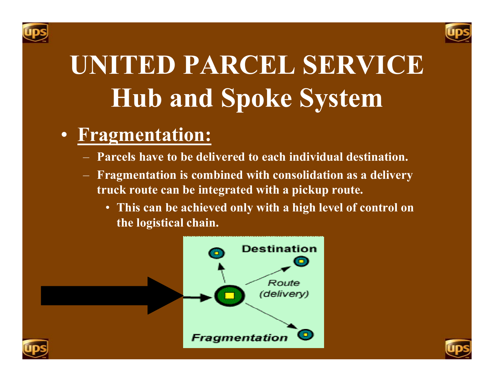



#### • **Fragmentation :**

- **Parcels have to be delivered to each individual destination.**
- **Fragmentation is combined with consolidation as a delivery truck route can be integrated with a pickup route.**
	- **This can be achieved only with a high level of control on the logistical chain.**



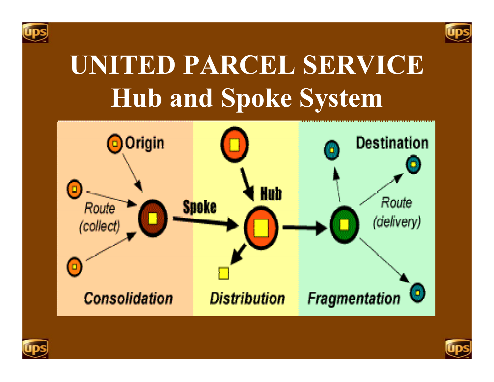







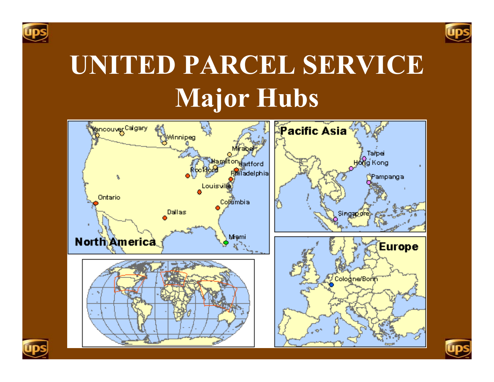



# **UNITED PARCEL SERVICE Major Hubs**





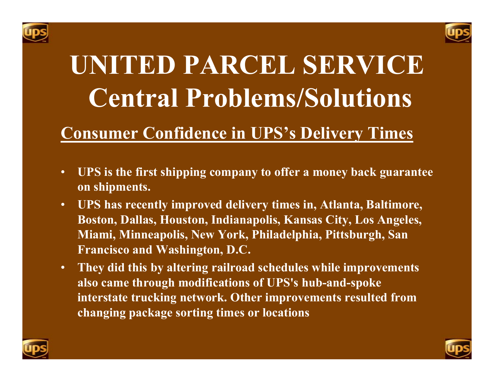



# **UNITED PARCEL SERVICE Central Problems/Solutions**

#### **Consumer Confidence in UPS's Delivery Times**

- • **UPS is the first shipping company to offer a money back guarantee on shipments.**
- • **UPS has recently improved delivery times in, Atlanta, Baltimore, Boston, Dallas, Houston, Indianapolis, Kansas City, Los Angeles, Miami, Minneapolis, New York, Philadelphia, Pittsburgh, San Francisco and Washington, D.C.**
- • **They did this by altering railroad schedules while improvements also came through modifications of UPS's hub-and-spoke interstate trucking network. Other improvements resulted from changing package sorting times or locations**



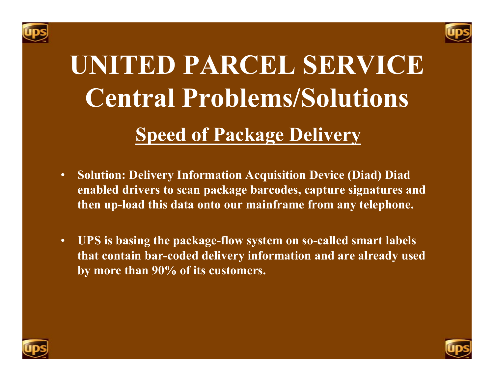



# **UNITED PARCEL SERVICECentral Problems/Solutions Speed of Package Delivery**

- • **Solution: Delivery Information Acquisition Device (Diad) Diad enabled drivers to scan package barcodes, capture signatures and then up-load this data onto our mainframe from any telephone.**
- • **UPS is basing the package-flow system on so-called smart labels that contain bar-coded delivery information and are already used by more than 90% of its customers.**



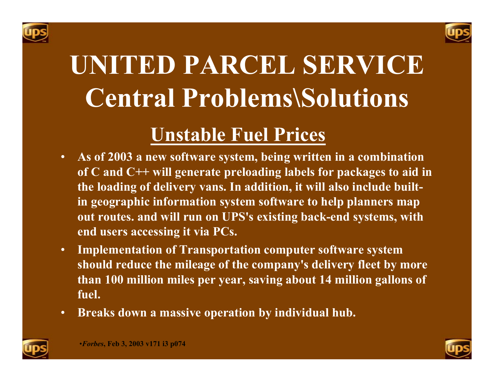



# **UNITED PARCEL SERVICECentral Problems\Solutions**

#### **Unstable Fuel Prices**

- • **As of 2003 a new software system, being written in a combination of C and C++ will generate preloading labels for packages to aid in the loading of delivery vans. In addition, it will also include builtin geographic information system software to help planners map out routes. and will run on UPS's existing back-end systems, with end users accessing it via PCs.**
- • **Implementation of Transportation computer software system should reduce the mileage of the company's delivery fleet by more than 100 million miles per year, saving about 14 million gallons of fuel.**
- •**Breaks down a massive operation by individual hub.**



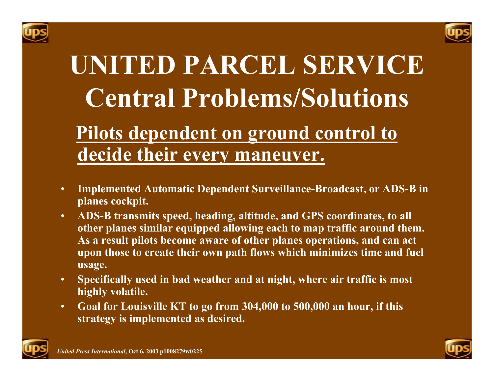



### **UNITED PARCEL SERVICECentral Problems/Solutions Pilots dependent on ground control to decide their every maneuver.**

- • **Implemented Automatic Dependent Surveillance-Broadcast, or ADS-B in planes cockpit.**
- • **ADS-B transmits speed, heading, altitude, and GPS coordinates, to all other planes similar equipped allowing each to map traffic around them. As a result pilots become aware of other planes operations, and can act upon those to create their own path flows which minimizes time and fuel usage.**
- • **Specifically used in bad weather and at night, where air traffic is most highly volatile.**
- • **Goal for Louisville KT to go from 304,000 to 500,000 an hour, if this strategy is implemented as desired.**



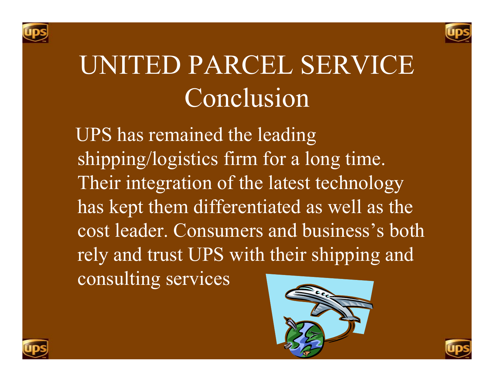



### UNITED PARCEL SERVICE Conclusion

 UPS has remained the leading shipping/logistics firm for a long time. Their integration of the latest technology has kept them differentiated as well as the cost leader. Consumers and business's both rely and trust UPS with their shipping and consulting services





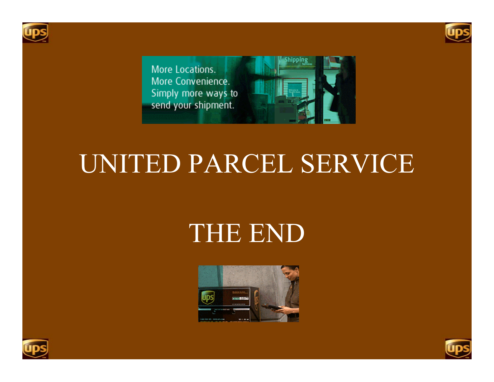





#### UNITED PARCEL SERVICE

#### THE END